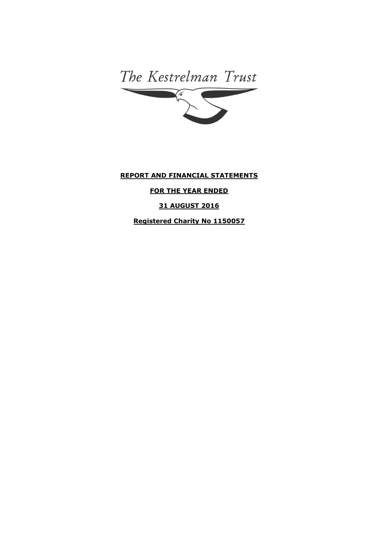The Kestrelman Trust 

# **REPORT AND FINANCIAL STATEMENTS**

# **FOR THE YEAR ENDED**

**31 AUGUST 2016**

**Registered Charity No 1150057**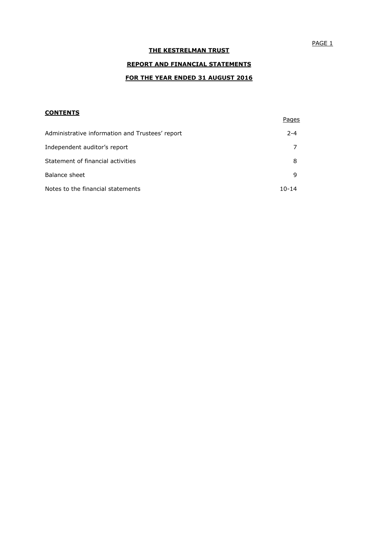# **REPORT AND FINANCIAL STATEMENTS**

## **FOR THE YEAR ENDED 31 AUGUST 2016**

## **CONTENTS**

|                                                 | Pages     |
|-------------------------------------------------|-----------|
| Administrative information and Trustees' report | $2 - 4$   |
| Independent auditor's report                    |           |
| Statement of financial activities               | 8         |
| Balance sheet                                   | 9         |
| Notes to the financial statements               | $10 - 14$ |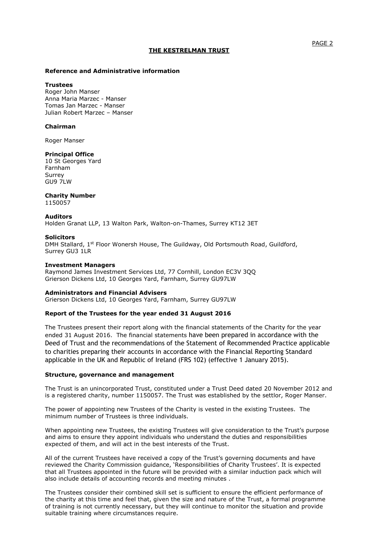### **Reference and Administrative information**

#### **Trustees**

Roger John Manser Anna Maria Marzec - Manser Tomas Jan Marzec - Manser Julian Robert Marzec – Manser

### **Chairman**

Roger Manser

### **Principal Office**

10 St Georges Yard Farnham Surrey GU9 7LW

### **Charity Number**

1150057

### **Auditors**

Holden Granat LLP, 13 Walton Park, Walton-on-Thames, Surrey KT12 3ET

### **Solicitors**

DMH Stallard, 1st Floor Wonersh House, The Guildway, Old Portsmouth Road, Guildford, Surrey GU3 1LR

### **Investment Managers**

Raymond James Investment Services Ltd, 77 Cornhill, London EC3V 3QQ Grierson Dickens Ltd, 10 Georges Yard, Farnham, Surrey GU97LW

### **Administrators and Financial Advisers**

Grierson Dickens Ltd, 10 Georges Yard, Farnham, Surrey GU97LW

### **Report of the Trustees for the year ended 31 August 2016**

The Trustees present their report along with the financial statements of the Charity for the year ended 31 August 2016. The financial statements have been prepared in accordance with the Deed of Trust and the recommendations of the Statement of Recommended Practice applicable to charities preparing their accounts in accordance with the Financial Reporting Standard applicable in the UK and Republic of Ireland (FRS 102) (effective 1 January 2015).

### **Structure, governance and management**

The Trust is an unincorporated Trust, constituted under a Trust Deed dated 20 November 2012 and is a registered charity, number 1150057. The Trust was established by the settlor, Roger Manser.

The power of appointing new Trustees of the Charity is vested in the existing Trustees. The minimum number of Trustees is three individuals.

When appointing new Trustees, the existing Trustees will give consideration to the Trust's purpose and aims to ensure they appoint individuals who understand the duties and responsibilities expected of them, and will act in the best interests of the Trust.

All of the current Trustees have received a copy of the Trust's governing documents and have reviewed the Charity Commission guidance, 'Responsibilities of Charity Trustees'. It is expected that all Trustees appointed in the future will be provided with a similar induction pack which will also include details of accounting records and meeting minutes .

The Trustees consider their combined skill set is sufficient to ensure the efficient performance of the charity at this time and feel that, given the size and nature of the Trust, a formal programme of training is not currently necessary, but they will continue to monitor the situation and provide suitable training where circumstances require.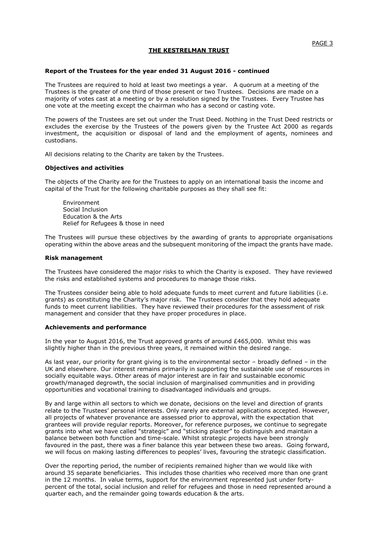#### **Report of the Trustees for the year ended 31 August 2016 - continued**

The Trustees are required to hold at least two meetings a year. A quorum at a meeting of the Trustees is the greater of one third of those present or two Trustees. Decisions are made on a majority of votes cast at a meeting or by a resolution signed by the Trustees. Every Trustee has one vote at the meeting except the chairman who has a second or casting vote.

The powers of the Trustees are set out under the Trust Deed. Nothing in the Trust Deed restricts or excludes the exercise by the Trustees of the powers given by the Trustee Act 2000 as regards investment, the acquisition or disposal of land and the employment of agents, nominees and custodians.

All decisions relating to the Charity are taken by the Trustees.

### **Objectives and activities**

The objects of the Charity are for the Trustees to apply on an international basis the income and capital of the Trust for the following charitable purposes as they shall see fit:

Environment Social Inclusion Education & the Arts Relief for Refugees & those in need

The Trustees will pursue these objectives by the awarding of grants to appropriate organisations operating within the above areas and the subsequent monitoring of the impact the grants have made.

#### **Risk management**

The Trustees have considered the major risks to which the Charity is exposed. They have reviewed the risks and established systems and procedures to manage those risks.

The Trustees consider being able to hold adequate funds to meet current and future liabilities (i.e. grants) as constituting the Charity's major risk. The Trustees consider that they hold adequate funds to meet current liabilities. They have reviewed their procedures for the assessment of risk management and consider that they have proper procedures in place.

#### **Achievements and performance**

In the year to August 2016, the Trust approved grants of around £465,000. Whilst this was slightly higher than in the previous three years, it remained within the desired range.

As last year, our priority for grant giving is to the environmental sector – broadly defined – in the UK and elsewhere. Our interest remains primarily in supporting the sustainable use of resources in socially equitable ways. Other areas of major interest are in fair and sustainable economic growth/managed degrowth, the social inclusion of marginalised communities and in providing opportunities and vocational training to disadvantaged individuals and groups.

By and large within all sectors to which we donate, decisions on the level and direction of grants relate to the Trustees' personal interests. Only rarely are external applications accepted. However, all projects of whatever provenance are assessed prior to approval, with the expectation that grantees will provide regular reports. Moreover, for reference purposes, we continue to segregate grants into what we have called "strategic" and "sticking plaster" to distinguish and maintain a balance between both function and time-scale. Whilst strategic projects have been strongly favoured in the past, there was a finer balance this year between these two areas. Going forward, we will focus on making lasting differences to peoples' lives, favouring the strategic classification.

Over the reporting period, the number of recipients remained higher than we would like with around 35 separate beneficiaries. This includes those charities who received more than one grant in the 12 months. In value terms, support for the environment represented just under fortypercent of the total, social inclusion and relief for refugees and those in need represented around a quarter each, and the remainder going towards education & the arts.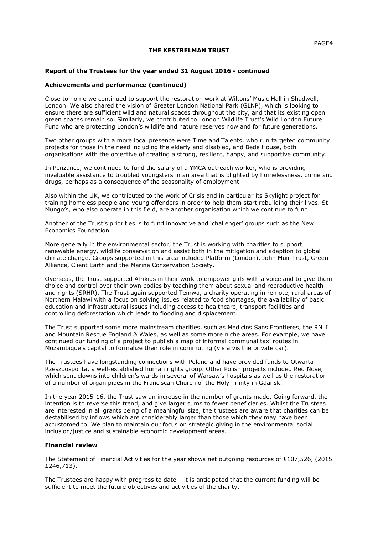### **Report of the Trustees for the year ended 31 August 2016 - continued**

### **Achievements and performance (continued)**

Close to home we continued to support the restoration work at Wiltons' Music Hall in Shadwell, London. We also shared the vision of Greater London National Park (GLNP), which is looking to ensure there are sufficient wild and natural spaces throughout the city, and that its existing open green spaces remain so. Similarly, we contributed to London Wildlife Trust's Wild London Future Fund who are protecting London's wildlife and nature reserves now and for future generations.

Two other groups with a more local presence were Time and Talents, who run targeted community projects for those in the need including the elderly and disabled, and Bede House, both organisations with the objective of creating a strong, resilient, happy, and supportive community.

In Penzance, we continued to fund the salary of a YMCA outreach worker, who is providing invaluable assistance to troubled youngsters in an area that is blighted by homelessness, crime and drugs, perhaps as a consequence of the seasonality of employment.

Also within the UK, we contributed to the work of Crisis and in particular its Skylight project for training homeless people and young offenders in order to help them start rebuilding their lives. St Mungo's, who also operate in this field, are another organisation which we continue to fund.

Another of the Trust's priorities is to fund innovative and 'challenger' groups such as the New Economics Foundation.

More generally in the environmental sector, the Trust is working with charities to support renewable energy, wildlife conservation and assist both in the mitigation and adaption to global climate change. Groups supported in this area included Platform (London), John Muir Trust, Green Alliance, Client Earth and the Marine Conservation Society.

Overseas, the Trust supported Afrikids in their work to empower girls with a voice and to give them choice and control over their own bodies by teaching them about sexual and reproductive health and rights (SRHR). The Trust again supported Temwa, a charity operating in remote, rural areas of Northern Malawi with a focus on solving issues related to food shortages, the availability of basic education and infrastructural issues including access to healthcare, transport facilities and controlling deforestation which leads to flooding and displacement.

The Trust supported some more mainstream charities, such as Medicins Sans Frontieres, the RNLI and Mountain Rescue England & Wales, as well as some more niche areas. For example, we have continued our funding of a project to publish a map of informal communal taxi routes in Mozambique's capital to formalize their role in commuting (vis a vis the private car).

The Trustees have longstanding connections with Poland and have provided funds to Otwarta Rzeszpospolita, a well-established human rights group. Other Polish projects included Red Nose, which sent clowns into children's wards in several of Warsaw's hospitals as well as the restoration of a number of organ pipes in the Franciscan Church of the Holy Trinity in Gdansk.

In the year 2015-16, the Trust saw an increase in the number of grants made. Going forward, the intention is to reverse this trend, and give larger sums to fewer beneficiaries. Whilst the Trustees are interested in all grants being of a meaningful size, the trustees are aware that charities can be destabilised by inflows which are considerably larger than those which they may have been accustomed to. We plan to maintain our focus on strategic giving in the environmental social inclusion/justice and sustainable economic development areas.

### **Financial review**

The Statement of Financial Activities for the year shows net outgoing resources of £107,526, (2015 £246,713).

The Trustees are happy with progress to date  $-$  it is anticipated that the current funding will be sufficient to meet the future objectives and activities of the charity.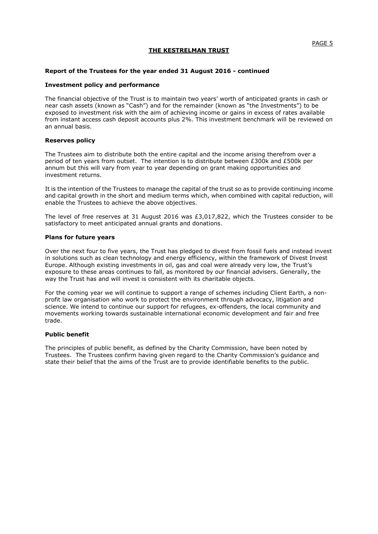### **Report of the Trustees for the year ended 31 August 2016 - continued**

### **Investment policy and performance**

The financial objective of the Trust is to maintain two years' worth of anticipated grants in cash or near cash assets (known as "Cash") and for the remainder (known as "the Investments") to be exposed to investment risk with the aim of achieving income or gains in excess of rates available from instant access cash deposit accounts plus 2%. This investment benchmark will be reviewed on an annual basis.

### **Reserves policy**

The Trustees aim to distribute both the entire capital and the income arising therefrom over a period of ten years from outset. The intention is to distribute between £300k and £500k per annum but this will vary from year to year depending on grant making opportunities and investment returns.

It is the intention of the Trustees to manage the capital of the trust so as to provide continuing income and capital growth in the short and medium terms which, when combined with capital reduction, will enable the Trustees to achieve the above objectives.

The level of free reserves at 31 August 2016 was £3,017,822, which the Trustees consider to be satisfactory to meet anticipated annual grants and donations.

### **Plans for future years**

Over the next four to five years, the Trust has pledged to divest from fossil fuels and instead invest in solutions such as clean technology and energy efficiency, within the framework of Divest Invest Europe. Although existing investments in oil, gas and coal were already very low, the Trust's exposure to these areas continues to fall, as monitored by our financial advisers. Generally, the way the Trust has and will invest is consistent with its charitable objects.

For the coming year we will continue to support a range of schemes including Client Earth, a nonprofit law organisation who work to protect the environment through advocacy, litigation and science. We intend to continue our support for refugees, ex-offenders, the local community and movements working towards sustainable international economic development and fair and free trade.

### **Public benefit**

The principles of public benefit, as defined by the Charity Commission, have been noted by Trustees. The Trustees confirm having given regard to the Charity Commission's guidance and state their belief that the aims of the Trust are to provide identifiable benefits to the public.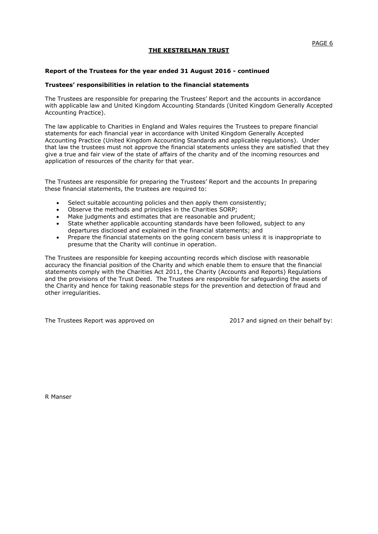### **Report of the Trustees for the year ended 31 August 2016 - continued**

### **Trustees' responsibilities in relation to the financial statements**

The Trustees are responsible for preparing the Trustees' Report and the accounts in accordance with applicable law and United Kingdom Accounting Standards (United Kingdom Generally Accepted Accounting Practice).

The law applicable to Charities in England and Wales requires the Trustees to prepare financial statements for each financial year in accordance with United Kingdom Generally Accepted Accounting Practice (United Kingdom Accounting Standards and applicable regulations). Under that law the trustees must not approve the financial statements unless they are satisfied that they give a true and fair view of the state of affairs of the charity and of the incoming resources and application of resources of the charity for that year.

The Trustees are responsible for preparing the Trustees' Report and the accounts In preparing these financial statements, the trustees are required to:

- Select suitable accounting policies and then apply them consistently;
- Observe the methods and principles in the Charities SORP;
- Make judgments and estimates that are reasonable and prudent;
- State whether applicable accounting standards have been followed, subject to any departures disclosed and explained in the financial statements; and
- Prepare the financial statements on the going concern basis unless it is inappropriate to presume that the Charity will continue in operation.

The Trustees are responsible for keeping accounting records which disclose with reasonable accuracy the financial position of the Charity and which enable them to ensure that the financial statements comply with the Charities Act 2011, the Charity (Accounts and Reports) Regulations and the provisions of the Trust Deed. The Trustees are responsible for safeguarding the assets of the Charity and hence for taking reasonable steps for the prevention and detection of fraud and other irregularities.

The Trustees Report was approved on 2017 and signed on their behalf by:

R Manser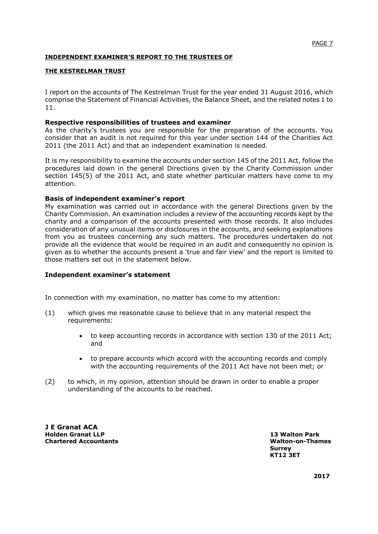## **INDEPENDENT EXAMINER'S REPORT TO THE TRUSTEES OF**

## **THE KESTRELMAN TRUST**

I report on the accounts of The Kestrelman Trust for the year ended 31 August 2016, which comprise the Statement of Financial Activities, the Balance Sheet, and the related notes 1 to 11.

## **Respective responsibilities of trustees and examiner**

As the charity's trustees you are responsible for the preparation of the accounts. You consider that an audit is not required for this year under section 144 of the Charities Act 2011 (the 2011 Act) and that an independent examination is needed.

It is my responsibility to examine the accounts under section 145 of the 2011 Act, follow the procedures laid down in the general Directions given by the Charity Commission under section 145(5) of the 2011 Act, and state whether particular matters have come to my attention.

## **Basis of independent examiner's report**

My examination was carried out in accordance with the general Directions given by the Charity Commission. An examination includes a review of the accounting records kept by the charity and a comparison of the accounts presented with those records. It also includes consideration of any unusual items or disclosures in the accounts, and seeking explanations from you as trustees concerning any such matters. The procedures undertaken do not provide all the evidence that would be required in an audit and consequently no opinion is given as to whether the accounts present a 'true and fair view' and the report is limited to those matters set out in the statement below.

## **Independent examiner's statement**

In connection with my examination, no matter has come to my attention:

- (1) which gives me reasonable cause to believe that in any material respect the requirements:
	- to keep accounting records in accordance with section 130 of the 2011 Act; and
	- to prepare accounts which accord with the accounting records and comply with the accounting requirements of the 2011 Act have not been met; or
- (2) to which, in my opinion, attention should be drawn in order to enable a proper understanding of the accounts to be reached.

**J E Granat ACA Holden Granat LLP 13 Walton Park Chartered Accountants Walton-on-Thames**

**Surrey KT12 3ET**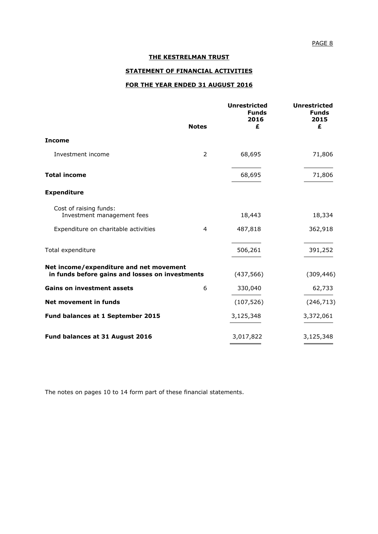## **STATEMENT OF FINANCIAL ACTIVITIES**

## **FOR THE YEAR ENDED 31 AUGUST 2016**

|                                                                                            | <b>Notes</b>   | <b>Unrestricted</b><br><b>Funds</b><br>2016<br>£ | <b>Unrestricted</b><br><b>Funds</b><br>2015<br>£ |
|--------------------------------------------------------------------------------------------|----------------|--------------------------------------------------|--------------------------------------------------|
| <b>Income</b>                                                                              |                |                                                  |                                                  |
| Investment income                                                                          | $\overline{2}$ | 68,695                                           | 71,806                                           |
| <b>Total income</b>                                                                        |                | 68,695                                           | 71,806                                           |
| <b>Expenditure</b>                                                                         |                |                                                  |                                                  |
| Cost of raising funds:<br>Investment management fees                                       |                | 18,443                                           | 18,334                                           |
| Expenditure on charitable activities                                                       | 4              | 487,818                                          | 362,918                                          |
| Total expenditure                                                                          |                | 506,261                                          | 391,252                                          |
| Net income/expenditure and net movement<br>in funds before gains and losses on investments |                | (437, 566)                                       | (309, 446)                                       |
| <b>Gains on investment assets</b>                                                          | 6              | 330,040                                          | 62,733                                           |
| Net movement in funds                                                                      |                | (107, 526)                                       | (246, 713)                                       |
| Fund balances at 1 September 2015                                                          |                | 3,125,348                                        | 3,372,061                                        |
| Fund balances at 31 August 2016                                                            |                | 3,017,822                                        | 3,125,348                                        |

The notes on pages 10 to 14 form part of these financial statements.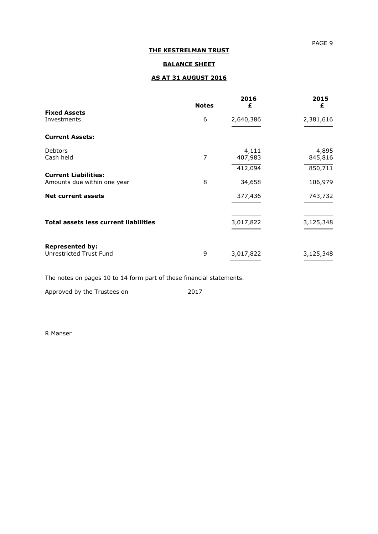## PAGE 9

## **THE KESTRELMAN TRUST**

## **BALANCE SHEET**

## **AS AT 31 AUGUST 2016**

|                                                            | <b>Notes</b> | 2016<br>£        | 2015<br>£        |
|------------------------------------------------------------|--------------|------------------|------------------|
| <b>Fixed Assets</b><br>Investments                         | 6            | 2,640,386        | 2,381,616        |
| <b>Current Assets:</b>                                     |              |                  |                  |
| <b>Debtors</b><br>Cash held                                | 7            | 4,111<br>407,983 | 4,895<br>845,816 |
|                                                            |              | 412,094          | 850,711          |
| <b>Current Liabilities:</b><br>Amounts due within one year | 8            | 34,658           | 106,979          |
| <b>Net current assets</b>                                  |              | 377,436          | 743,732          |
|                                                            |              |                  |                  |
| <b>Total assets less current liabilities</b>               |              | 3,017,822        | 3,125,348        |
| <b>Represented by:</b>                                     |              |                  |                  |
| Unrestricted Trust Fund                                    | 9            | 3,017,822        | 3,125,348        |

The notes on pages 10 to 14 form part of these financial statements.

Approved by the Trustees on 2017

R Manser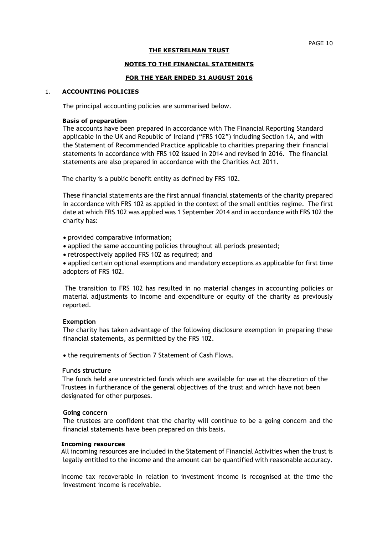### **NOTES TO THE FINANCIAL STATEMENTS**

### **FOR THE YEAR ENDED 31 AUGUST 2016**

### 1. **ACCOUNTING POLICIES**

The principal accounting policies are summarised below.

### **Basis of preparation**

The accounts have been prepared in accordance with The Financial Reporting Standard applicable in the UK and Republic of Ireland ("FRS 102") including Section 1A, and with the Statement of Recommended Practice applicable to charities preparing their financial statements in accordance with FRS 102 issued in 2014 and revised in 2016. The financial statements are also prepared in accordance with the Charities Act 2011.

The charity is a public benefit entity as defined by FRS 102.

 These financial statements are the first annual financial statements of the charity prepared in accordance with FRS 102 as applied in the context of the small entities regime. The first date at which FRS 102 was applied was 1 September 2014 and in accordance with FRS 102 the charity has:

provided comparative information;

- applied the same accounting policies throughout all periods presented;
- retrospectively applied FRS 102 as required; and

 applied certain optional exemptions and mandatory exceptions as applicable for first time adopters of FRS 102.

 The transition to FRS 102 has resulted in no material changes in accounting policies or material adjustments to income and expenditure or equity of the charity as previously reported.

### **Exemption**

 The charity has taken advantage of the following disclosure exemption in preparing these financial statements, as permitted by the FRS 102.

• the requirements of Section 7 Statement of Cash Flows.

### **Funds structure**

The funds held are unrestricted funds which are available for use at the discretion of the Trustees in furtherance of the general objectives of the trust and which have not been designated for other purposes.

### **Going concern**

The trustees are confident that the charity will continue to be a going concern and the financial statements have been prepared on this basis.

### **Incoming resources**

All incoming resources are included in the Statement of Financial Activities when the trust is legally entitled to the income and the amount can be quantified with reasonable accuracy.

Income tax recoverable in relation to investment income is recognised at the time the investment income is receivable.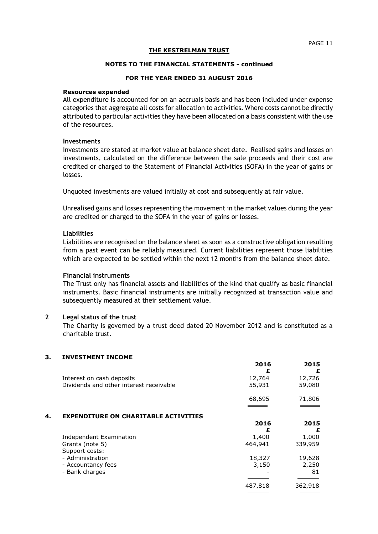### **NOTES TO THE FINANCIAL STATEMENTS - continued**

### **FOR THE YEAR ENDED 31 AUGUST 2016**

#### **Resources expended**

All expenditure is accounted for on an accruals basis and has been included under expense categories that aggregate all costs for allocation to activities. Where costs cannot be directly attributed to particular activities they have been allocated on a basis consistent with the use of the resources.

### **Investments**

Investments are stated at market value at balance sheet date. Realised gains and losses on investments, calculated on the difference between the sale proceeds and their cost are credited or charged to the Statement of Financial Activities (SOFA) in the year of gains or losses.

Unquoted investments are valued initially at cost and subsequently at fair value.

Unrealised gains and losses representing the movement in the market values during the year are credited or charged to the SOFA in the year of gains or losses.

### **Liabilities**

Liabilities are recognised on the balance sheet as soon as a constructive obligation resulting from a past event can be reliably measured. Current liabilities represent those liabilities which are expected to be settled within the next 12 months from the balance sheet date.

### **Financial instruments**

The Trust only has financial assets and liabilities of the kind that qualify as basic financial instruments. Basic financial instruments are initially recognized at transaction value and subsequently measured at their settlement value.

## **2 Legal status of the trust**

The Charity is governed by a trust deed dated 20 November 2012 and is constituted as a charitable trust.

## **3. INVESTMENT INCOME**

|    |                                             | 2016<br>£ | 2015<br>£ |
|----|---------------------------------------------|-----------|-----------|
|    | Interest on cash deposits                   | 12,764    | 12,726    |
|    | Dividends and other interest receivable     | 55,931    | 59,080    |
|    |                                             | 68,695    | 71,806    |
|    |                                             |           |           |
| 4. | <b>EXPENDITURE ON CHARITABLE ACTIVITIES</b> |           |           |
|    |                                             | 2016      | 2015      |
|    |                                             | £         | £         |
|    | Independent Examination                     | 1,400     | 1,000     |
|    | Grants (note 5)                             | 464,941   | 339,959   |
|    | Support costs:                              |           |           |
|    | - Administration                            | 18,327    | 19,628    |
|    | - Accountancy fees                          | 3,150     | 2,250     |
|    | - Bank charges                              |           | 81        |
|    |                                             | 487,818   | 362,918   |
|    |                                             |           |           |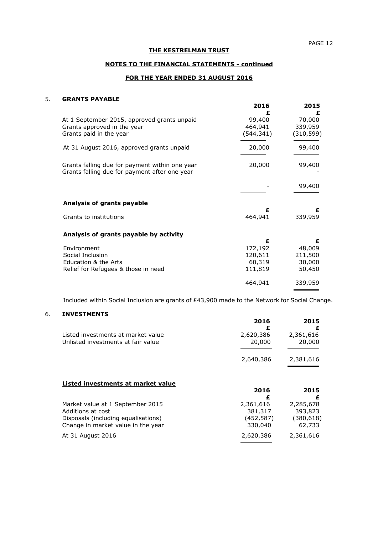## **NOTES TO THE FINANCIAL STATEMENTS - continued**

## **FOR THE YEAR ENDED 31 AUGUST 2016**

## 5. **GRANTS PAYABLE**

|                                                                                                       | 2016                                         | 2015                                       |
|-------------------------------------------------------------------------------------------------------|----------------------------------------------|--------------------------------------------|
| At 1 September 2015, approved grants unpaid<br>Grants approved in the year<br>Grants paid in the year | £<br>99,400<br>464,941<br>(544,341)          | £<br>70,000<br>339,959<br>(310, 599)       |
| At 31 August 2016, approved grants unpaid                                                             | 20,000                                       | 99,400                                     |
| Grants falling due for payment within one year<br>Grants falling due for payment after one year       | 20,000                                       | 99,400                                     |
|                                                                                                       |                                              | 99,400                                     |
| Analysis of grants payable                                                                            |                                              |                                            |
| Grants to institutions                                                                                | £<br>464,941                                 | £<br>339,959                               |
| Analysis of grants payable by activity                                                                |                                              |                                            |
| Environment<br>Social Inclusion<br>Education & the Arts<br>Relief for Refugees & those in need        | £<br>172,192<br>120,611<br>60,319<br>111,819 | £<br>48,009<br>211,500<br>30,000<br>50,450 |
|                                                                                                       | 464,941                                      | 339,959                                    |

Included within Social Inclusion are grants of £43,900 made to the Network for Social Change.

## 6. **INVESTMENTS**

|                                                                                                                                    | 2016<br>£                                    | 2015<br>£                                    |
|------------------------------------------------------------------------------------------------------------------------------------|----------------------------------------------|----------------------------------------------|
| Listed investments at market value<br>Unlisted investments at fair value                                                           | 2,620,386<br>20,000                          | 2,361,616<br>20,000                          |
|                                                                                                                                    | 2,640,386                                    | 2,381,616                                    |
| Listed investments at market value                                                                                                 | 2016                                         | 2015                                         |
|                                                                                                                                    | £                                            | £                                            |
| Market value at 1 September 2015<br>Additions at cost<br>Disposals (including equalisations)<br>Change in market value in the year | 2,361,616<br>381,317<br>(452,587)<br>330,040 | 2,285,678<br>393,823<br>(380, 618)<br>62,733 |
| At 31 August 2016                                                                                                                  | 2,620,386                                    | 2,361,616                                    |
|                                                                                                                                    |                                              |                                              |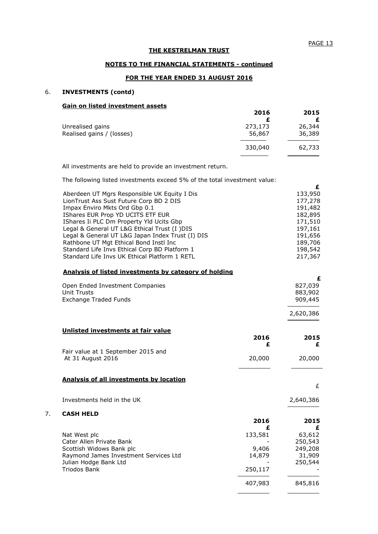**£**

2,640,386

### **THE KESTRELMAN TRUST**

### **NOTES TO THE FINANCIAL STATEMENTS - continued**

## **FOR THE YEAR ENDED 31 AUGUST 2016**

## 6. **INVESTMENTS (contd)**

## **Gain on listed investment assets**

| 2016              | 2015<br>£        |
|-------------------|------------------|
| 273,173<br>56,867 | 26,344<br>36,389 |
| 330,040           | 62,733           |
|                   |                  |

All investments are held to provide an investment return.

The following listed investments exceed 5% of the total investment value:

| Aberdeen UT Mgrs Responsible UK Equity I Dis          | 133,950 |
|-------------------------------------------------------|---------|
| LionTrust Ass Sust Future Corp BD 2 DIS               | 177,278 |
| Impax Enviro Mkts Ord Gbp 0.1                         | 191,482 |
| IShares EUR Prop YD UCITS ETF EUR                     | 182,895 |
| IShares Ii PLC Dm Property Yld Ucits Gbp              | 171,510 |
| Legal & General UT L&G Ethical Trust (I )DIS          | 197,161 |
| Legal & General UT L&G Japan Index Trust (I) DIS      | 191,656 |
| Rathbone UT Mgt Ethical Bond Instl Inc                | 189,706 |
| Standard Life Invs Ethical Corp BD Platform 1         | 198,542 |
| Standard Life Invs UK Ethical Platform 1 RETL         | 217,367 |
| Analysis of listed investments by category of holding |         |
|                                                       | £       |
|                                                       |         |
| Open Ended Investment Companies                       | 827,039 |
| <b>Unit Trusts</b>                                    | 883,902 |

|                                 | 2,620,386    |
|---------------------------------|--------------|
| Exchange Traded Funds           | 909,445      |
| Unit Trusts                     | 883,902      |
| Open Ended Investment Companies | <u>,,,,,</u> |

| Unlisted investments at fair value      |        |           |
|-----------------------------------------|--------|-----------|
|                                         | 2016   | 2015<br>£ |
| Fair value at 1 September 2015 and      |        |           |
| At 31 August 2016                       | 20,000 | 20,000    |
|                                         |        |           |
| Analysis of all investments by location |        |           |
|                                         |        |           |

Investments held in the UK

## 7. **CASH HELD**

|                                       | 2016    | 2015<br>£ |
|---------------------------------------|---------|-----------|
| Nat West plc                          | 133,581 | 63,612    |
| Cater Allen Private Bank              |         | 250,543   |
| Scottish Widows Bank plc              | 9,406   | 249,208   |
| Raymond James Investment Services Ltd | 14,879  | 31,909    |
| Julian Hodge Bank Ltd                 |         | 250,544   |
| Triodos Bank                          | 250,117 |           |
|                                       | 407,983 | 845,816   |